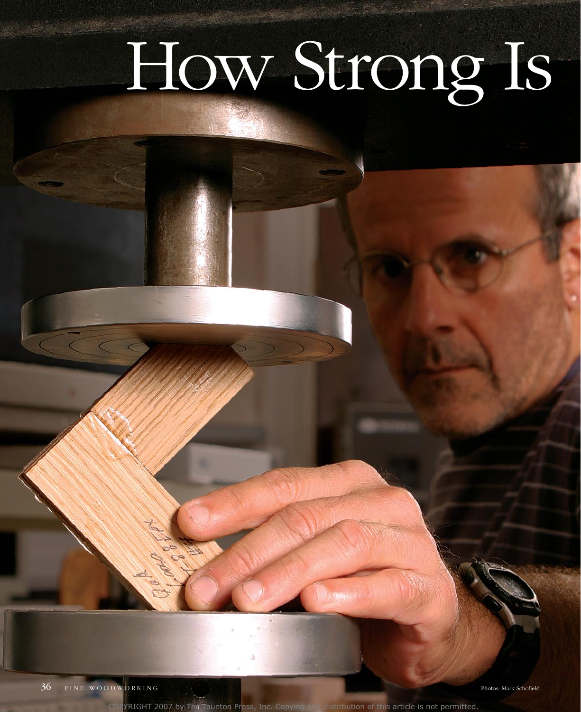# How Strong Is

YRIGHT 2007 by The Taunton Press, Inc. Copying and distribution of this article is not permitted.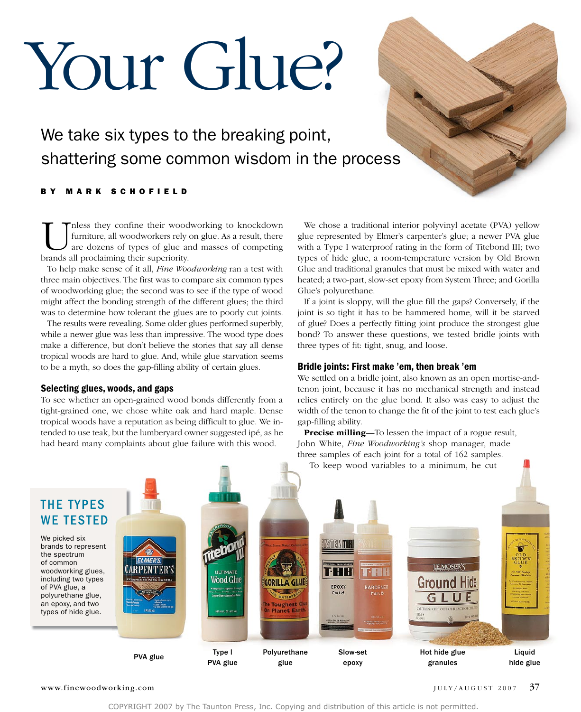# Your Glue?

We take six types to the breaking point, shattering some common wisdom in the process

#### B Y M A R K S C H O F I E L D

nless they confine their woodworking to knockdown furniture, all woodworkers rely on glue. As a result, there are dozens of types of glue and masses of competing brands all proclaiming their superiority.

To help make sense of it all, *Fine Woodworking* ran a test with three main objectives. The first was to compare six common types of woodworking glue; the second was to see if the type of wood might affect the bonding strength of the different glues; the third was to determine how tolerant the glues are to poorly cut joints.

The results were revealing. Some older glues performed superbly, while a newer glue was less than impressive. The wood type does make a difference, but don't believe the stories that say all dense tropical woods are hard to glue. And, while glue starvation seems to be a myth, so does the gap-filling ability of certain glues.

#### Selecting glues, woods, and gaps

To see whether an open-grained wood bonds differently from a tight-grained one, we chose white oak and hard maple. Dense tropical woods have a reputation as being difficult to glue. we intended to use teak, but the lumberyard owner suggested ipé, as he had heard many complaints about glue failure with this wood.

we chose a traditional interior polyvinyl acetate (PVA) yellow glue represented by Elmer's carpenter's glue; a newer PVA glue with a Type I waterproof rating in the form of Titebond III; two types of hide glue, a room-temperature version by old Brown Glue and traditional granules that must be mixed with water and heated; a two-part, slow-set epoxy from System Three; and Gorilla Glue's polyurethane.

If a joint is sloppy, will the glue fill the gaps? Conversely, if the joint is so tight it has to be hammered home, will it be starved of glue? Does a perfectly fitting joint produce the strongest glue bond? To answer these questions, we tested bridle joints with three types of fit: tight, snug, and loose.

#### Bridle joints: First make 'em, then break 'em

we settled on a bridle joint, also known as an open mortise-andtenon joint, because it has no mechanical strength and instead relies entirely on the glue bond. It also was easy to adjust the width of the tenon to change the fit of the joint to test each glue's gap-filling ability.

**Precise milling—To lessen the impact of a rogue result,** John white, *Fine Woodworking's* shop manager, made three samples of each joint for a total of 162 samples.



#### www.finewoodworking.com JULY/AUGUST 2007 37

COPYRIGHT 2007 by The Taunton Press, Inc. Copying and distribution of this article is not permitted.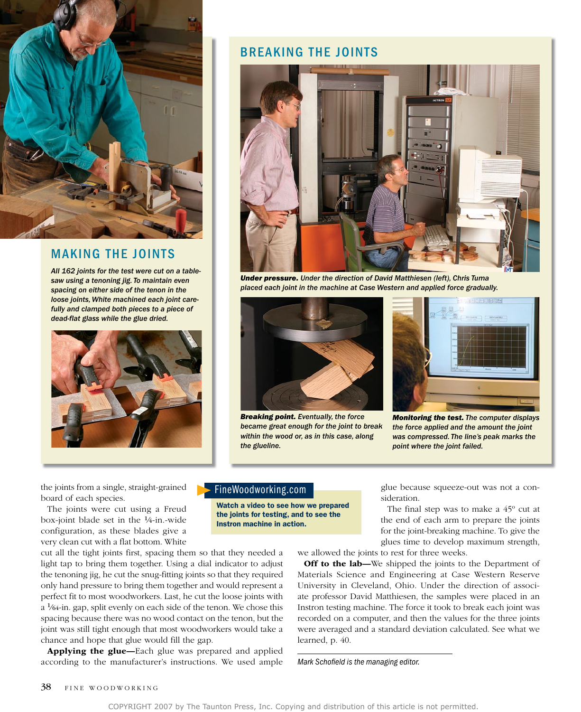

#### MAKING THE JOINTS

*All 162 joints for the test were cut on a tablesaw using a tenoning jig. To maintain even spacing on either side of the tenon in the loose joints, White machined each joint carefully and clamped both pieces to a piece of dead-flat glass while the glue dried.*



#### BREAKING THE JOINTS



*Under pressure. Under the direction of David Matthiesen (left), Chris Tuma placed each joint in the machine at Case Western and applied force gradually.*



*Breaking point. Eventually, the force became great enough for the joint to break within the wood or, as in this case, along the glueline.*



*Monitoring the test. The computer displays the force applied and the amount the joint was compressed. The line's peak marks the point where the joint failed.*

the joints from a single, straight-grained board of each species.

The joints were cut using a Freud box-joint blade set in the 1⁄4-in.-wide configuration, as these blades give a very clean cut with a flat bottom. white

cut all the tight joints first, spacing them so that they needed a light tap to bring them together. Using a dial indicator to adjust the tenoning jig, he cut the snug-fitting joints so that they required only hand pressure to bring them together and would represent a perfect fit to most woodworkers. Last, he cut the loose joints with a 1⁄64-in. gap, split evenly on each side of the tenon. we chose this spacing because there was no wood contact on the tenon, but the joint was still tight enough that most woodworkers would take a chance and hope that glue would fill the gap.

Applying the glue-Each glue was prepared and applied according to the manufacturer's instructions. we used ample

#### FineWoodworking.com

Watch a video to see how we prepared the joints for testing, and to see the Instron machine in action.

glue because squeeze-out was not a consideration.

The final step was to make a 45º cut at the end of each arm to prepare the joints for the joint-breaking machine. To give the glues time to develop maximum strength,

we allowed the joints to rest for three weeks.

Off to the lab-We shipped the joints to the Department of Materials Science and Engineering at Case Western Reserve University in Cleveland, ohio. Under the direction of associate professor David Matthiesen, the samples were placed in an Instron testing machine. The force it took to break each joint was recorded on a computer, and then the values for the three joints were averaged and a standard deviation calculated. See what we learned, p. 40.

*Mark Schofield is the managing editor.*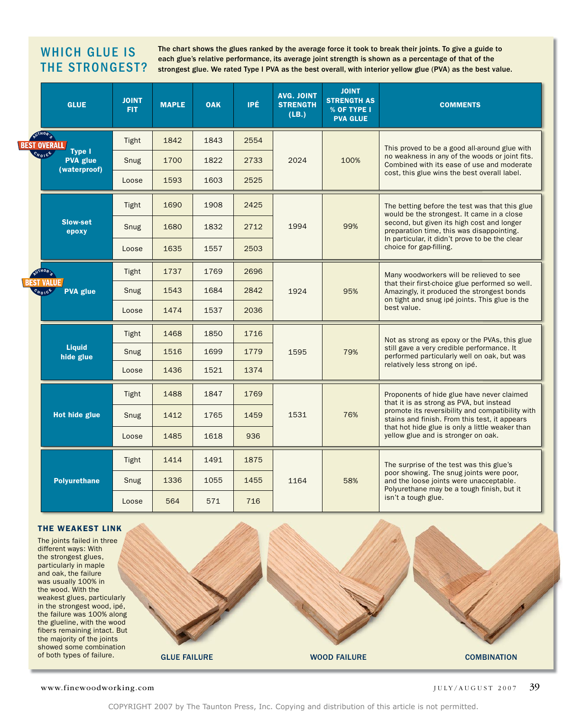## WHICH GLUE IS THE STRONGEST?

The chart shows the glues ranked by the average force it took to break their joints. To give a guide to each glue's relative performance, its average joint strength is shown as a percentage of that of the strongest glue. We rated Type I PVA as the best overall, with interior yellow glue (PVA) as the best value.

|  | <b>GLUE</b>                                                                                                          | <b>JOINT</b><br><b>FIT</b> | <b>MAPLE</b> | <b>OAK</b> | IPÉ  | <b>AVG. JOINT</b><br><b>STRENGTH</b><br>(LB.) | <b>JOINT</b><br><b>STRENGTH AS</b><br>% OF TYPE I<br><b>PVA GLUE</b> | <b>COMMENTS</b>                                                                                                                                                                                                                                                                       |
|--|----------------------------------------------------------------------------------------------------------------------|----------------------------|--------------|------------|------|-----------------------------------------------|----------------------------------------------------------------------|---------------------------------------------------------------------------------------------------------------------------------------------------------------------------------------------------------------------------------------------------------------------------------------|
|  | AUTHOR'S<br><b>BEST OVERALL</b><br>Type I<br>$e_{H_0}$ <sub>10</sub> <sup>6</sup><br><b>PVA</b> glue<br>(waterproof) | Tight                      | 1842         | 1843       | 2554 | 2024                                          | 100%                                                                 | This proved to be a good all-around glue with<br>no weakness in any of the woods or joint fits.<br>Combined with its ease of use and moderate<br>cost, this glue wins the best overall label.                                                                                         |
|  |                                                                                                                      | Snug                       | 1700         | 1822       | 2733 |                                               |                                                                      |                                                                                                                                                                                                                                                                                       |
|  |                                                                                                                      | Loose                      | 1593         | 1603       | 2525 |                                               |                                                                      |                                                                                                                                                                                                                                                                                       |
|  | <b>Slow-set</b><br>epoxy                                                                                             | Tight                      | 1690         | 1908       | 2425 | 1994                                          | 99%                                                                  | The betting before the test was that this glue<br>would be the strongest. It came in a close<br>second, but given its high cost and longer<br>preparation time, this was disappointing.<br>In particular, it didn't prove to be the clear<br>choice for gap-filling.                  |
|  |                                                                                                                      | Snug                       | 1680         | 1832       | 2712 |                                               |                                                                      |                                                                                                                                                                                                                                                                                       |
|  |                                                                                                                      | Loose                      | 1635         | 1557       | 2503 |                                               |                                                                      |                                                                                                                                                                                                                                                                                       |
|  | NUTHOR :<br>EST VALUE /<br><b>PVA glue</b><br>$C_{H01}$ ce                                                           | Tight                      | 1737         | 1769       | 2696 | 1924                                          | 95%                                                                  | Many woodworkers will be relieved to see<br>that their first-choice glue performed so well.<br>Amazingly, it produced the strongest bonds<br>on tight and snug ipé joints. This glue is the<br>best value.                                                                            |
|  |                                                                                                                      | Snug                       | 1543         | 1684       | 2842 |                                               |                                                                      |                                                                                                                                                                                                                                                                                       |
|  |                                                                                                                      | Loose                      | 1474         | 1537       | 2036 |                                               |                                                                      |                                                                                                                                                                                                                                                                                       |
|  | <b>Liquid</b><br>hide glue                                                                                           | Tight                      | 1468         | 1850       | 1716 | 1595                                          | 79%                                                                  | Not as strong as epoxy or the PVAs, this glue<br>still gave a very credible performance. It<br>performed particularly well on oak, but was<br>relatively less strong on ipé.                                                                                                          |
|  |                                                                                                                      | Snug                       | 1516         | 1699       | 1779 |                                               |                                                                      |                                                                                                                                                                                                                                                                                       |
|  |                                                                                                                      | Loose                      | 1436         | 1521       | 1374 |                                               |                                                                      |                                                                                                                                                                                                                                                                                       |
|  | <b>Hot hide glue</b>                                                                                                 | Tight                      | 1488         | 1847       | 1769 | 1531                                          | 76%                                                                  | Proponents of hide glue have never claimed<br>that it is as strong as PVA, but instead<br>promote its reversibility and compatibility with<br>stains and finish. From this test, it appears<br>that hot hide glue is only a little weaker than<br>yellow glue and is stronger on oak. |
|  |                                                                                                                      | Snug                       | 1412         | 1765       | 1459 |                                               |                                                                      |                                                                                                                                                                                                                                                                                       |
|  |                                                                                                                      | Loose                      | 1485         | 1618       | 936  |                                               |                                                                      |                                                                                                                                                                                                                                                                                       |
|  | <b>Polyurethane</b>                                                                                                  | Tight                      | 1414         | 1491       | 1875 | 1164                                          | 58%                                                                  | The surprise of the test was this glue's<br>poor showing. The snug joints were poor,<br>and the loose joints were unacceptable.<br>Polyurethane may be a tough finish, but it<br>isn't a tough glue.                                                                                  |
|  |                                                                                                                      | Snug                       | 1336         | 1055       | 1455 |                                               |                                                                      |                                                                                                                                                                                                                                                                                       |
|  |                                                                                                                      | Loose                      | 564          | 571        | 716  |                                               |                                                                      |                                                                                                                                                                                                                                                                                       |

#### THE WEAKEST LINK

The joints failed in three different ways: With the strongest glues, particularly in maple and oak, the failure was usually 100% in the wood. With the weakest glues, particularly in the strongest wood, ipé, the failure was 100% along the glueline, with the wood fibers remaining intact. But the majority of the joints showed some combination